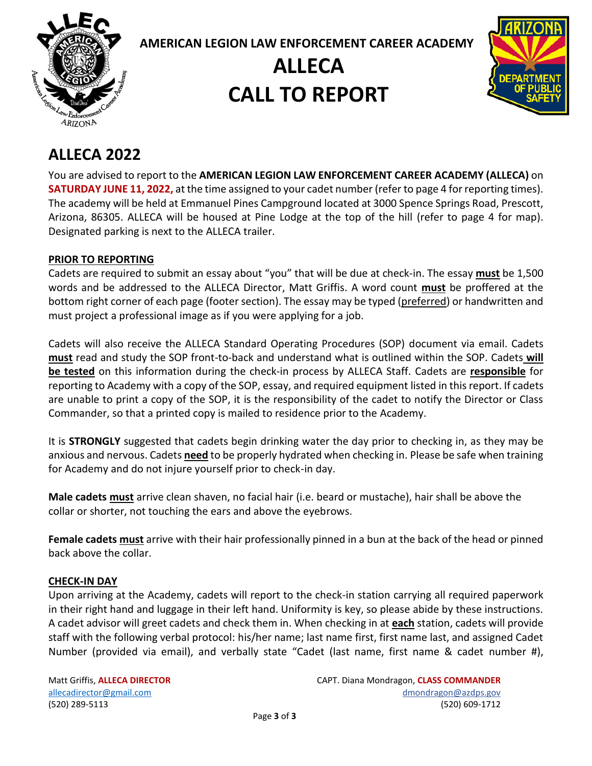

**AMERICAN LEGION LAW ENFORCEMENT CAREER ACADEMY**

# **ALLECA CALL TO REPORT**



### **ALLECA 2022**

You are advised to report to the **AMERICAN LEGION LAW ENFORCEMENT CAREER ACADEMY (ALLECA)** on **SATURDAY JUNE 11, 2022,** at the time assigned to your cadet number (refer to page 4 for reporting times). The academy will be held at Emmanuel Pines Campground located at 3000 Spence Springs Road, Prescott, Arizona, 86305. ALLECA will be housed at Pine Lodge at the top of the hill (refer to page 4 for map). Designated parking is next to the ALLECA trailer.

#### **PRIOR TO REPORTING**

Cadets are required to submit an essay about "you" that will be due at check-in. The essay **must** be 1,500 words and be addressed to the ALLECA Director, Matt Griffis. A word count **must** be proffered at the bottom right corner of each page (footer section). The essay may be typed (preferred) or handwritten and must project a professional image as if you were applying for a job.

Cadets will also receive the ALLECA Standard Operating Procedures (SOP) document via email. Cadets **must** read and study the SOP front-to-back and understand what is outlined within the SOP. Cadets **will be tested** on this information during the check-in process by ALLECA Staff. Cadets are **responsible** for reporting to Academy with a copy of the SOP, essay, and required equipment listed in this report. If cadets are unable to print a copy of the SOP, it is the responsibility of the cadet to notify the Director or Class Commander, so that a printed copy is mailed to residence prior to the Academy.

It is **STRONGLY** suggested that cadets begin drinking water the day prior to checking in, as they may be anxious and nervous. Cadets **need** to be properly hydrated when checking in. Please be safe when training for Academy and do not injure yourself prior to check-in day.

**Male cadets must** arrive clean shaven, no facial hair (i.e. beard or mustache), hair shall be above the collar or shorter, not touching the ears and above the eyebrows.

**Female cadets must** arrive with their hair professionally pinned in a bun at the back of the head or pinned back above the collar.

#### **CHECK-IN DAY**

Upon arriving at the Academy, cadets will report to the check-in station carrying all required paperwork in their right hand and luggage in their left hand. Uniformity is key, so please abide by these instructions. A cadet advisor will greet cadets and check them in. When checking in at **each** station, cadets will provide staff with the following verbal protocol: his/her name; last name first, first name last, and assigned Cadet Number (provided via email), and verbally state "Cadet (last name, first name & cadet number #),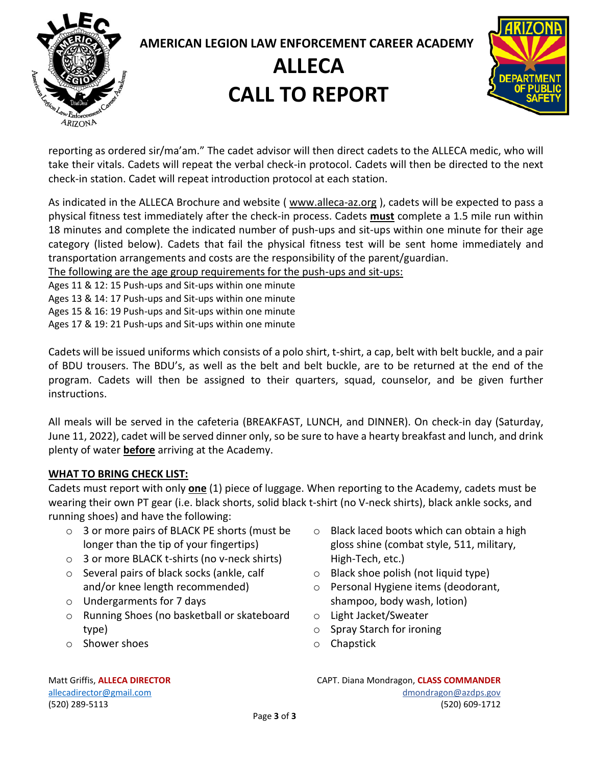

### **AMERICAN LEGION LAW ENFORCEMENT CAREER ACADEMY ALLECA**

# **CALL TO REPORT**



reporting as ordered sir/ma'am." The cadet advisor will then direct cadets to the ALLECA medic, who will take their vitals. Cadets will repeat the verbal check-in protocol. Cadets will then be directed to the next check-in station. Cadet will repeat introduction protocol at each station.

As indicated in the ALLECA Brochure and website (www.alleca-az.org), cadets will be expected to pass a physical fitness test immediately after the check-in process. Cadets **must** complete a 1.5 mile run within 18 minutes and complete the indicated number of push-ups and sit-ups within one minute for their age category (listed below). Cadets that fail the physical fitness test will be sent home immediately and transportation arrangements and costs are the responsibility of the parent/guardian.

The following are the age group requirements for the push-ups and sit-ups:

Ages 11 & 12: 15 Push-ups and Sit-ups within one minute

Ages 13 & 14: 17 Push-ups and Sit-ups within one minute

Ages 15 & 16: 19 Push-ups and Sit-ups within one minute

Ages 17 & 19: 21 Push-ups and Sit-ups within one minute

Cadets will be issued uniforms which consists of a polo shirt, t-shirt, a cap, belt with belt buckle, and a pair of BDU trousers. The BDU's, as well as the belt and belt buckle, are to be returned at the end of the program. Cadets will then be assigned to their quarters, squad, counselor, and be given further instructions.

All meals will be served in the cafeteria (BREAKFAST, LUNCH, and DINNER). On check-in day (Saturday, June 11, 2022), cadet will be served dinner only, so be sure to have a hearty breakfast and lunch, and drink plenty of water **before** arriving at the Academy.

#### **WHAT TO BRING CHECK LIST:**

Cadets must report with only **one** (1) piece of luggage. When reporting to the Academy, cadets must be wearing their own PT gear (i.e. black shorts, solid black t-shirt (no V-neck shirts), black ankle socks, and running shoes) and have the following:

- o 3 or more pairs of BLACK PE shorts (must be longer than the tip of your fingertips)
- o 3 or more BLACK t-shirts (no v-neck shirts)
- o Several pairs of black socks (ankle, calf and/or knee length recommended)
- o Undergarments for 7 days
- o Running Shoes (no basketball or skateboard type)
- o Shower shoes
- o Black laced boots which can obtain a high gloss shine (combat style, 511, military, High-Tech, etc.)
- $\circ$  Black shoe polish (not liquid type)
- o Personal Hygiene items (deodorant, shampoo, body wash, lotion)
- o Light Jacket/Sweater
- o Spray Starch for ironing
- o Chapstick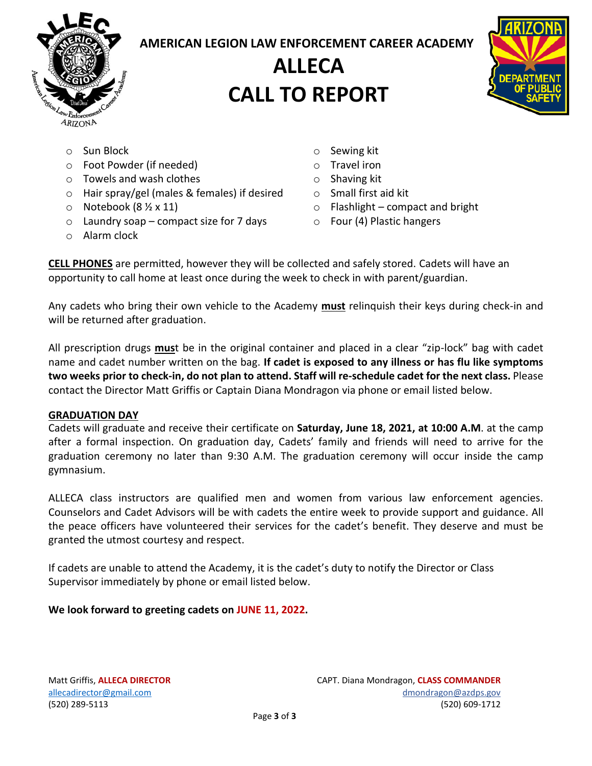

#### **AMERICAN LEGION LAW ENFORCEMENT CAREER ACADEMY**

### **ALLECA CALL TO REPORT**



- o Sun Block
- o Foot Powder (if needed)
- o Towels and wash clothes
- o Hair spray/gel (males & females) if desired
- $\circ$  Notebook (8 ½ x 11)
- o Laundry soap compact size for 7 days
- o Alarm clock
- o Sewing kit
- o Travel iron
- o Shaving kit
- o Small first aid kit
- $\circ$  Flashlight compact and bright
- o Four (4) Plastic hangers

**CELL PHONES** are permitted, however they will be collected and safely stored. Cadets will have an opportunity to call home at least once during the week to check in with parent/guardian.

Any cadets who bring their own vehicle to the Academy **must** relinquish their keys during check-in and will be returned after graduation.

All prescription drugs **mus**t be in the original container and placed in a clear "zip-lock" bag with cadet name and cadet number written on the bag. **If cadet is exposed to any illness or has flu like symptoms two weeks prior to check-in, do not plan to attend. Staff will re-schedule cadet for the next class.** Please contact the Director Matt Griffis or Captain Diana Mondragon via phone or email listed below.

#### **GRADUATION DAY**

Cadets will graduate and receive their certificate on **Saturday, June 18, 2021, at 10:00 A.M**. at the camp after a formal inspection. On graduation day, Cadets' family and friends will need to arrive for the graduation ceremony no later than 9:30 A.M. The graduation ceremony will occur inside the camp gymnasium.

ALLECA class instructors are qualified men and women from various law enforcement agencies. Counselors and Cadet Advisors will be with cadets the entire week to provide support and guidance. All the peace officers have volunteered their services for the cadet's benefit. They deserve and must be granted the utmost courtesy and respect.

If cadets are unable to attend the Academy, it is the cadet's duty to notify the Director or Class Supervisor immediately by phone or email listed below.

#### **We look forward to greeting cadets on JUNE 11, 2022.**